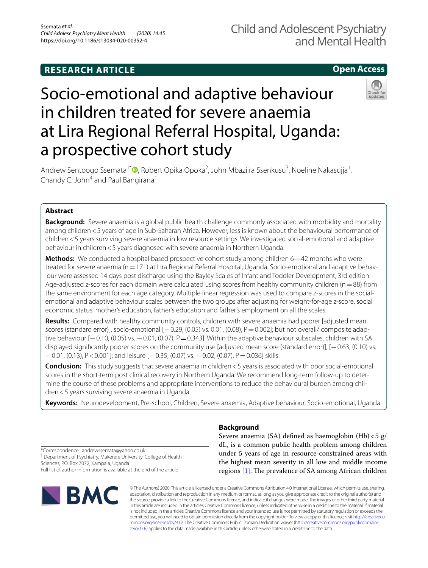# **Open Access**

# Socio-emotional and adaptive behaviour in children treated for severe anaemia at Lira Regional Referral Hospital, Uganda: a prospective cohort study



Andrew Sentoogo Ssemata<sup>1\*</sup><sup>®</sup>[,](http://orcid.org/0000-0003-0060-0842) Robert Opika Opoka<sup>2</sup>, John Mbaziira Ssenkusu<sup>3</sup>, Noeline Nakasujja<sup>1</sup>, Chandy C. John<sup>4</sup> and Paul Bangirana<sup>1</sup>

## **Abstract**

**Background:** Severe anaemia is a global public health challenge commonly associated with morbidity and mortality among children<5 years of age in Sub-Saharan Africa. However, less is known about the behavioural performance of children<5 years surviving severe anaemia in low resource settings. We investigated social-emotional and adaptive behaviour in children<5 years diagnosed with severe anaemia in Northern Uganda.

**Methods:** We conducted a hospital based prospective cohort study among children 6—42 months who were treated for severe anaemia (n=171) at Lira Regional Referral Hospital, Uganda. Socio-emotional and adaptive behaviour were assessed 14 days post discharge using the Bayley Scales of Infant and Toddler Development, 3rd edition. Age-adjusted z-scores for each domain were calculated using scores from healthy community children ( $n=88$ ) from the same environment for each age category. Multiple linear regression was used to compare z-scores in the socialemotional and adaptive behaviour scales between the two groups after adjusting for weight-for-age z-score, social economic status, mother's education, father's education and father's employment on all the scales.

**Results:** Compared with healthy community controls, children with severe anaemia had poorer [adjusted mean scores (standard error)], socio-emotional [−0.29, (0.05) vs. 0.01, (0.08), P = 0.002]; but not overall/ composite adaptive behaviour [−0.10, (0.05) vs. −0.01, (0.07), P=0.343]. Within the adaptive behaviour subscales, children with SA displayed signifcantly poorer scores on the community use [adjusted mean score (standard error)], [−0.63, (0.10) vs. −0.01, (0.13), P<0.001]; and leisure [−0.35, (0.07) vs. −0.02, (0.07), P=0.036] skills.

**Conclusion:** This study suggests that severe anaemia in children <5 years is associated with poor social-emotional scores in the short-term post clinical recovery in Northern Uganda. We recommend long-term follow-up to determine the course of these problems and appropriate interventions to reduce the behavioural burden among children<5 years surviving severe anaemia in Uganda.

**Keywords:** Neurodevelopment, Pre-school, Children, Severe anaemia, Adaptive behaviour, Socio-emotional, Uganda

**Background**

Severe anaemia (SA) defned as haemoglobin (Hb)<5 g/ dL, is a common public health problem among children under 5 years of age in resource-constrained areas with the highest mean severity in all low and middle income regions  $[1]$  $[1]$ . The prevalence of SA among African children

\*Correspondence: andrewssemata@yahoo.co.uk <sup>1</sup> Department of Psychiatry, Makerere University, College of Health Sciences, P.O. Box 7072, Kampala, Uganda

Full list of author information is available at the end of the article



© The Author(s) 2020. This article is licensed under a Creative Commons Attribution 4.0 International License, which permits use, sharing, adaptation, distribution and reproduction in any medium or format, as long as you give appropriate credit to the original author(s) and the source, provide a link to the Creative Commons licence, and indicate if changes were made. The images or other third party material in this article are included in the article's Creative Commons licence, unless indicated otherwise in a credit line to the material. If material is not included in the article's Creative Commons licence and your intended use is not permitted by statutory regulation or exceeds the permitted use, you will need to obtain permission directly from the copyright holder. To view a copy of this licence, visit [http://creativeco](http://creativecommons.org/licenses/by/4.0/) [mmons.org/licenses/by/4.0/.](http://creativecommons.org/licenses/by/4.0/) The Creative Commons Public Domain Dedication waiver ([http://creativecommons.org/publicdomain/](http://creativecommons.org/publicdomain/zero/1.0/) [zero/1.0/\)](http://creativecommons.org/publicdomain/zero/1.0/) applies to the data made available in this article, unless otherwise stated in a credit line to the data.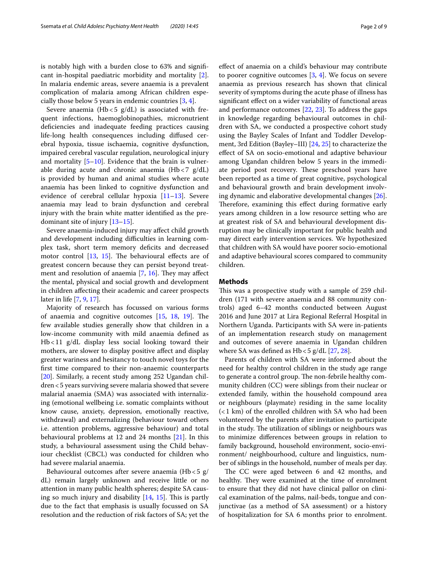is notably high with a burden close to 63% and signifcant in-hospital paediatric morbidity and mortality [\[2](#page-6-1)]. In malaria endemic areas, severe anaemia is a prevalent complication of malaria among African children especially those below 5 years in endemic countries [\[3](#page-6-2), [4\]](#page-7-0).

Severe anaemia ( $Hb < 5$   $g/dL$ ) is associated with frequent infections, haemoglobinopathies, micronutrient deficiencies and inadequate feeding practices causing life-long health consequences including difused cerebral hypoxia, tissue ischaemia, cognitive dysfunction, impaired cerebral vascular regulation, neurological injury and mortality [\[5–](#page-7-1)[10\]](#page-7-2). Evidence that the brain is vulnerable during acute and chronic anaemia (Hb < 7  $g/dL$ ) is provided by human and animal studies where acute anaemia has been linked to cognitive dysfunction and evidence of cerebral cellular hypoxia  $[11-13]$  $[11-13]$ . Severe anaemia may lead to brain dysfunction and cerebral injury with the brain white matter identifed as the predominant site of injury [\[13](#page-7-4)[–15](#page-7-5)].

Severe anaemia-induced injury may afect child growth and development including difficulties in learning complex task, short term memory defcits and decreased motor control  $[13, 15]$  $[13, 15]$  $[13, 15]$  $[13, 15]$ . The behavioural effects are of greatest concern because they can persist beyond treatment and resolution of anaemia  $[7, 16]$  $[7, 16]$  $[7, 16]$  $[7, 16]$  $[7, 16]$ . They may affect the mental, physical and social growth and development in children afecting their academic and career prospects later in life [[7,](#page-7-6) [9](#page-7-8), [17\]](#page-7-9).

Majority of research has focussed on various forms of anaemia and cognitive outcomes  $[15, 18, 19]$  $[15, 18, 19]$  $[15, 18, 19]$  $[15, 18, 19]$  $[15, 18, 19]$ . The few available studies generally show that children in a low-income community with mild anaemia defned as Hb<11 g/dL display less social looking toward their mothers, are slower to display positive afect and display greater wariness and hesitancy to touch novel toys for the frst time compared to their non-anaemic counterparts [[20\]](#page-7-12). Similarly, a recent study among 252 Ugandan children<5 years surviving severe malaria showed that severe malarial anaemia (SMA) was associated with internalizing (emotional wellbeing i.e. somatic complaints without know cause, anxiety, depression, emotionally reactive, withdrawal) and externalizing (behaviour toward others i.e. attention problems, aggressive behaviour) and total behavioural problems at 12 and 24 months [\[21](#page-7-13)]. In this study, a behavioural assessment using the Child behaviour checklist (CBCL) was conducted for children who had severe malarial anaemia.

Behavioural outcomes after severe anaemia  $(Hb < 5 g)$ dL) remain largely unknown and receive little or no attention in many public health spheres; despite SA causing so much injury and disability  $[14, 15]$  $[14, 15]$  $[14, 15]$  $[14, 15]$  $[14, 15]$ . This is partly due to the fact that emphasis is usually focussed on SA resolution and the reduction of risk factors of SA; yet the efect of anaemia on a child's behaviour may contribute to poorer cognitive outcomes  $[3, 4]$  $[3, 4]$  $[3, 4]$  $[3, 4]$ . We focus on severe anaemia as previous research has shown that clinical severity of symptoms during the acute phase of illness has signifcant efect on a wider variability of functional areas and performance outcomes [[22,](#page-7-15) [23\]](#page-7-16). To address the gaps in knowledge regarding behavioural outcomes in children with SA, we conducted a prospective cohort study using the Bayley Scales of Infant and Toddler Development, 3rd Edition (Bayley–III) [\[24](#page-7-17), [25](#page-7-18)] to characterize the efect of SA on socio-emotional and adaptive behaviour among Ugandan children below 5 years in the immediate period post recovery. These preschool years have been reported as a time of great cognitive, psychological and behavioural growth and brain development involving dynamic and elaborative developmental changes [\[26](#page-7-19)]. Therefore, examining this effect during formative early years among children in a low resource setting who are at greatest risk of SA and behavioural development disruption may be clinically important for public health and may direct early intervention services. We hypothesized that children with SA would have poorer socio-emotional and adaptive behavioural scores compared to community children.

## **Methods**

This was a prospective study with a sample of 259 children (171 with severe anaemia and 88 community controls) aged 6–42 months conducted between August 2016 and June 2017 at Lira Regional Referral Hospital in Northern Uganda. Participants with SA were in-patients of an implementation research study on management and outcomes of severe anaemia in Ugandan children where SA was defined as  $Hb < 5$  g/dL [[27,](#page-7-20) [28\]](#page-7-21).

Parents of children with SA were informed about the need for healthy control children in the study age range to generate a control group. The non-febrile healthy community children (CC) were siblings from their nuclear or extended family, within the household compound area or neighbours (playmate) residing in the same locality (<1 km) of the enrolled children with SA who had been volunteered by the parents after invitation to participate in the study. The utilization of siblings or neighbours was to minimize diferences between groups in relation to family background, household environment, socio-environment/ neighbourhood, culture and linguistics, number of siblings in the household, number of meals per day.

The CC were aged between 6 and 42 months, and healthy. They were examined at the time of enrolment to ensure that they did not have clinical pallor on clinical examination of the palms, nail-beds, tongue and conjunctivae (as a method of SA assessment) or a history of hospitalization for SA 6 months prior to enrolment.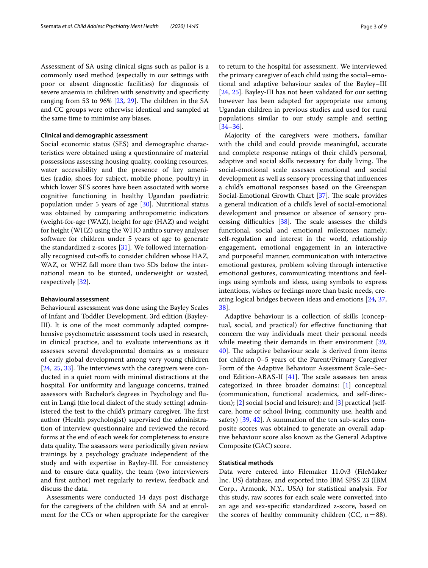Assessment of SA using clinical signs such as pallor is a commonly used method (especially in our settings with poor or absent diagnostic facilities) for diagnosis of severe anaemia in children with sensitivity and specifcity ranging from 53 to 96%  $[23, 29]$  $[23, 29]$  $[23, 29]$  $[23, 29]$ . The children in the SA and CC groups were otherwise identical and sampled at the same time to minimise any biases.

## **Clinical and demographic assessment**

Social economic status (SES) and demographic characteristics were obtained using a questionnaire of material possessions assessing housing quality, cooking resources, water accessibility and the presence of key amenities (radio, shoes for subject, mobile phone, poultry) in which lower SES scores have been associated with worse cognitive functioning in healthy Ugandan paediatric population under 5 years of age [\[30](#page-7-23)]. Nutritional status was obtained by comparing anthropometric indicators (weight-for-age (WAZ), height for age (HAZ) and weight for height (WHZ) using the WHO anthro survey analyser software for children under 5 years of age to generate the standardized z-scores [\[31\]](#page-7-24). We followed internationally recognised cut-ofs to consider children whose HAZ, WAZ, or WHZ fall more than two SDs below the international mean to be stunted, underweight or wasted, respectively [[32](#page-7-25)].

## **Behavioural assessment**

Behavioural assessment was done using the Bayley Scales of Infant and Toddler Development, 3rd edition (Bayley-III). It is one of the most commonly adapted comprehensive psychometric assessment tools used in research, in clinical practice, and to evaluate interventions as it assesses several developmental domains as a measure of early global development among very young children  $[24, 25, 33]$  $[24, 25, 33]$  $[24, 25, 33]$  $[24, 25, 33]$  $[24, 25, 33]$  $[24, 25, 33]$ . The interviews with the caregivers were conducted in a quiet room with minimal distractions at the hospital. For uniformity and language concerns, trained assessors with Bachelor's degrees in Psychology and fuent in Langi (the local dialect of the study setting) administered the test to the child's primary caregiver. The first author (Health psychologist) supervised the administration of interview questionnaire and reviewed the record forms at the end of each week for completeness to ensure data quality. The assessors were periodically given review trainings by a psychology graduate independent of the study and with expertise in Bayley-III. For consistency and to ensure data quality, the team (two interviewers and frst author) met regularly to review, feedback and discuss the data.

Assessments were conducted 14 days post discharge for the caregivers of the children with SA and at enrolment for the CCs or when appropriate for the caregiver to return to the hospital for assessment. We interviewed the primary caregiver of each child using the social–emotional and adaptive behaviour scales of the Bayley–III [[24,](#page-7-17) [25\]](#page-7-18). Bayley-III has not been validated for our setting however has been adapted for appropriate use among Ugandan children in previous studies and used for rural populations similar to our study sample and setting [[34–](#page-7-27)[36\]](#page-7-28).

Majority of the caregivers were mothers, familiar with the child and could provide meaningful, accurate and complete response ratings of their child's personal, adaptive and social skills necessary for daily living. The social-emotional scale assesses emotional and social development as well as sensory processing that infuences a child's emotional responses based on the Greenspan Social-Emotional Growth Chart [[37](#page-7-29)]. The scale provides a general indication of a child's level of social-emotional development and presence or absence of sensory processing difficulties  $[38]$  $[38]$ . The scale assesses the child's functional, social and emotional milestones namely; self-regulation and interest in the world, relationship engagement, emotional engagement in an interactive and purposeful manner, communication with interactive emotional gestures, problem solving through interactive emotional gestures, communicating intentions and feelings using symbols and ideas, using symbols to express intentions, wishes or feelings more than basic needs, creating logical bridges between ideas and emotions [[24,](#page-7-17) [37](#page-7-29), [38\]](#page-7-30).

Adaptive behaviour is a collection of skills (conceptual, social, and practical) for efective functioning that concern the way individuals meet their personal needs while meeting their demands in their environment [[39](#page-7-31), [40\]](#page-7-32). The adaptive behaviour scale is derived from items for children 0–5 years of the Parent/Primary Caregiver Form of the Adaptive Behaviour Assessment Scale–Second Edition-ABAS-II  $[41]$ . The scale assesses ten areas categorized in three broader domains: [\[1](#page-6-0)] conceptual (communication, functional academics, and self-direction); [\[2](#page-6-1)] social (social and leisure); and [[3\]](#page-6-2) practical (selfcare, home or school living, community use, health and safety) [\[39](#page-7-31), [42](#page-7-34)]. A summation of the ten sub-scales composite scores was obtained to generate an overall adaptive behaviour score also known as the General Adaptive Composite (GAC) score.

## **Statistical methods**

Data were entered into Filemaker 11.0v3 (FileMaker Inc. US) database, and exported into IBM SPSS 23 (IBM Corp., Armonk, N.Y., USA) for statistical analysis. For this study, raw scores for each scale were converted into an age and sex-specifc standardized z-score, based on the scores of healthy community children (CC,  $n=88$ ).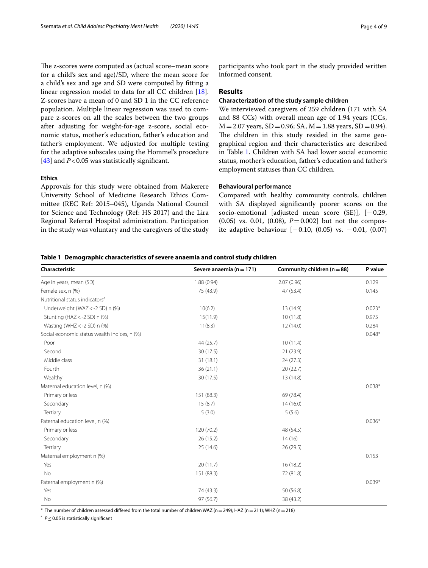The z-scores were computed as (actual score–mean score for a child's sex and age)/SD, where the mean score for a child's sex and age and SD were computed by ftting a linear regression model to data for all CC children [\[18](#page-7-10)]. Z-scores have a mean of 0 and SD 1 in the CC reference population. Multiple linear regression was used to compare z-scores on all the scales between the two groups after adjusting for weight-for-age z-score, social economic status, mother's education, father's education and father's employment. We adjusted for multiple testing for the adaptive subscales using the Hommel's procedure [[43\]](#page-7-35) and *P*<0.05 was statistically significant.

## **Ethics**

Approvals for this study were obtained from Makerere University School of Medicine Research Ethics Committee (REC Ref: 2015–045), Uganda National Council for Science and Technology (Ref: HS 2017) and the Lira Regional Referral Hospital administration. Participation in the study was voluntary and the caregivers of the study participants who took part in the study provided written informed consent.

## **Results**

## **Characterization of the study sample children**

We interviewed caregivers of 259 children (171 with SA and 88 CCs) with overall mean age of 1.94 years (CCs,  $M = 2.07$  years, SD = 0.96; SA,  $M = 1.88$  years, SD = 0.94). The children in this study resided in the same geographical region and their characteristics are described in Table [1](#page-3-0). Children with SA had lower social economic status, mother's education, father's education and father's employment statuses than CC children.

## **Behavioural performance**

Compared with healthy community controls, children with SA displayed signifcantly poorer scores on the socio-emotional [adjusted mean score (SE)], [−0.29,  $(0.05)$  vs. 0.01,  $(0.08)$ ,  $P=0.002$ ] but not the composite adaptive behaviour  $[-0.10, (0.05)$  vs.  $-0.01, (0.07)$ 

## <span id="page-3-0"></span>**Table 1 Demographic characteristics of severe anaemia and control study children**

| Characteristic                               | Severe anaemia (n = 171) | Community children $(n=88)$ | P value  |
|----------------------------------------------|--------------------------|-----------------------------|----------|
| Age in years, mean (SD)                      | 1.88(0.94)               | 2.07(0.96)                  | 0.129    |
| Female sex, n (%)                            | 75 (43.9)                | 47 (53.4)                   | 0.145    |
| Nutritional status indicators <sup>a</sup>   |                          |                             |          |
| Underweight (WAZ <- 2 SD) n (%)              | 10(6.2)                  | 13 (14.9)                   | $0.023*$ |
| Stunting (HAZ $<$ -2 SD) n (%)               | 15(11.9)                 | 10(11.8)                    | 0.975    |
| Wasting (WHZ < - $2$ SD) n (%)               | 11(8.3)                  | 12(14.0)                    | 0.284    |
| Social economic status wealth indices, n (%) |                          |                             | $0.048*$ |
| Poor                                         | 44 (25.7)                | 10(11.4)                    |          |
| Second                                       | 30 (17.5)                | 21 (23.9)                   |          |
| Middle class                                 | 31 (18.1)                | 24 (27.3)                   |          |
| Fourth                                       | 36(21.1)                 | 20(22.7)                    |          |
| Wealthy                                      | 30 (17.5)                | 13 (14.8)                   |          |
| Maternal education level, n (%)              |                          |                             | $0.038*$ |
| Primary or less                              | 151 (88.3)               | 69 (78.4)                   |          |
| Secondary                                    | 15(8.7)                  | 14(16.0)                    |          |
| Tertiary                                     | 5(3.0)                   | 5(5.6)                      |          |
| Paternal education level, n (%)              |                          |                             | $0.036*$ |
| Primary or less                              | 120 (70.2)               | 48 (54.5)                   |          |
| Secondary                                    | 26 (15.2)                | 14(16)                      |          |
| Tertiary                                     | 25 (14.6)                | 26 (29.5)                   |          |
| Maternal employment n (%)                    |                          |                             | 0.153    |
| Yes                                          | 20 (11.7)                | 16(18.2)                    |          |
| <b>No</b>                                    | 151 (88.3)               | 72 (81.8)                   |          |
| Paternal employment n (%)                    |                          |                             | $0.039*$ |
| Yes                                          | 74 (43.3)                | 50 (56.8)                   |          |
| No                                           | 97 (56.7)                | 38 (43.2)                   |          |

<sup>a</sup> The number of children assessed differed from the total number of children WAZ (n=249); HAZ (n=211); WHZ (n=218)

\* *<sup>P</sup>*≤0.05 is statistically signifcant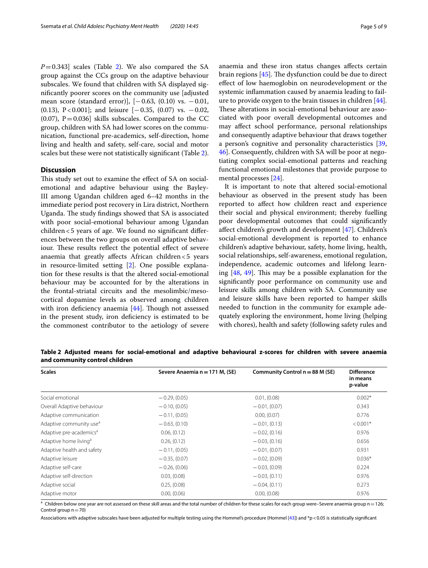$P=0.343$ ] scales (Table [2\)](#page-4-0). We also compared the SA group against the CCs group on the adaptive behaviour subscales. We found that children with SA displayed signifcantly poorer scores on the community use [adjusted mean score (standard error)],  $[-0.63, (0.10)$  vs.  $-0.01$ , (0.13), P<0.001]; and leisure  $[-0.35, (0.07)$  vs.  $-0.02$ ,  $(0.07)$ , P = 0.036] skills subscales. Compared to the CC group, children with SA had lower scores on the communication, functional pre-academics, self-direction, home living and health and safety, self-care, social and motor scales but these were not statistically signifcant (Table [2](#page-4-0)).

## **Discussion**

This study set out to examine the effect of SA on socialemotional and adaptive behaviour using the Bayley-III among Ugandan children aged 6–42 months in the immediate period post recovery in Lira district, Northern Uganda. The study findings showed that SA is associated with poor social-emotional behaviour among Ugandan children<5 years of age. We found no signifcant diferences between the two groups on overall adaptive behaviour. These results reflect the potential effect of severe anaemia that greatly afects African children<5 years in resource-limited setting [[2\]](#page-6-1). One possible explanation for these results is that the altered social-emotional behaviour may be accounted for by the alterations in the frontal-striatal circuits and the mesolimbic/mesocortical dopamine levels as observed among children with iron deficiency anaemia  $[44]$  $[44]$ . Though not assessed in the present study, iron defciency is estimated to be the commonest contributor to the aetiology of severe anaemia and these iron status changes afects certain brain regions  $[45]$  $[45]$ . The dysfunction could be due to direct efect of low haemoglobin on neurodevelopment or the systemic infammation caused by anaemia leading to failure to provide oxygen to the brain tissues in children [\[44](#page-7-36)]. These alterations in social-emotional behaviour are associated with poor overall developmental outcomes and may afect school performance, personal relationships and consequently adaptive behaviour that draws together a person's cognitive and personality characteristics [[39](#page-7-31), [46\]](#page-7-38). Consequently, children with SA will be poor at negotiating complex social-emotional patterns and reaching functional emotional milestones that provide purpose to mental processes [\[24\]](#page-7-17).

It is important to note that altered social-emotional behaviour as observed in the present study has been reported to afect how children react and experience their social and physical environment; thereby fuelling poor developmental outcomes that could signifcantly afect children's growth and development [[47\]](#page-7-39). Children's social-emotional development is reported to enhance children's adaptive behaviour, safety, home living, health, social relationships, self-awareness, emotional regulation, independence, academic outcomes and lifelong learning  $[48, 49]$  $[48, 49]$  $[48, 49]$ . This may be a possible explanation for the signifcantly poor performance on community use and leisure skills among children with SA. Community use and leisure skills have been reported to hamper skills needed to function in the community for example adequately exploring the environment, home living (helping with chores), health and safety (following safety rules and

<span id="page-4-0"></span>**Table 2 Adjusted means for social-emotional and adaptive behavioural z-scores for children with severe anaemia and community control children**

| <b>Scales</b>                       | Severe Anaemia n = 171 M, (SE) | Community Control $n = 88$ M (SE) | <b>Difference</b><br>in means<br>p-value |
|-------------------------------------|--------------------------------|-----------------------------------|------------------------------------------|
| Social emotional                    | $-0.29$ , $(0.05)$             | 0.01, (0.08)                      | $0.002*$                                 |
| Overall Adaptive behaviour          | $-0.10, (0.05)$                | $-0.01$ , $(0.07)$                | 0.343                                    |
| Adaptive communication              | $-0.11, (0.05)$                | 0.00, (0.07)                      | 0.776                                    |
| Adaptive community use <sup>a</sup> | $-0.63, (0.10)$                | $-0.01$ , $(0.13)$                | $< 0.001*$                               |
| Adaptive pre-academics <sup>a</sup> | 0.06, (0.12)                   | $-0.02, (0.16)$                   | 0.976                                    |
| Adaptive home living <sup>a</sup>   | 0.26, (0.12)                   | $-0.03$ , $(0.16)$                | 0.656                                    |
| Adaptive health and safety          | $-0.11, (0.05)$                | $-0.01$ , $(0.07)$                | 0.931                                    |
| Adaptive leisure                    | $-0.35, (0.07)$                | $-0.02, (0.09)$                   | $0.036*$                                 |
| Adaptive self-care                  | $-0.26, (0.06)$                | $-0.03$ , $(0.09)$                | 0.224                                    |
| Adaptive self-direction             | 0.03, (0.08)                   | $-0.03$ , $(0.11)$                | 0.976                                    |
| Adaptive social                     | 0.25, (0.08)                   | $-0.04, (0.11)$                   | 0.273                                    |
| Adaptive motor                      | 0.00, (0.06)                   | 0.00, (0.08)                      | 0.976                                    |
|                                     |                                |                                   |                                          |

<sup>a</sup> Children below one year are not assessed on these skill areas and the total number of children for these scales for each group were–Severe anaemia group n=126; Control group  $n=70$ 

Associations with adaptive subscales have been adjusted for multiple testing using the Hommel's procedure (Hommel [[43\]](#page-7-35)) and \*p<0.05 is statistically significant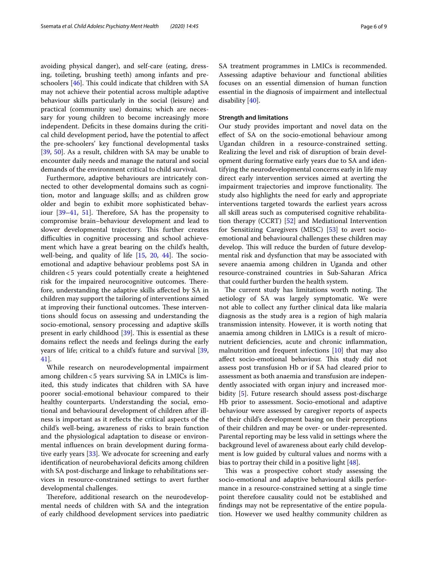avoiding physical danger), and self-care (eating, dressing, toileting, brushing teeth) among infants and preschoolers  $[46]$  $[46]$ . This could indicate that children with SA may not achieve their potential across multiple adaptive behaviour skills particularly in the social (leisure) and practical (community use) domains; which are necessary for young children to become increasingly more independent. Deficits in these domains during the critical child development period, have the potential to afect the pre-schoolers' key functional developmental tasks [[39,](#page-7-31) [50](#page-8-0)]. As a result, children with SA may be unable to encounter daily needs and manage the natural and social demands of the environment critical to child survival.

Furthermore, adaptive behaviours are intricately connected to other developmental domains such as cognition, motor and language skills; and as children grow older and begin to exhibit more sophisticated behaviour  $[39-41, 51]$  $[39-41, 51]$  $[39-41, 51]$ . Therefore, SA has the propensity to compromise brain–behaviour development and lead to slower developmental trajectory. This further creates difficulties in cognitive processing and school achievement which have a great bearing on the child's health, well-being, and quality of life  $[15, 20, 44]$  $[15, 20, 44]$  $[15, 20, 44]$  $[15, 20, 44]$  $[15, 20, 44]$  $[15, 20, 44]$ . The socioemotional and adaptive behaviour problems post SA in children<5 years could potentially create a heightened risk for the impaired neurocognitive outcomes. Therefore, understanding the adaptive skills afected by SA in children may support the tailoring of interventions aimed at improving their functional outcomes. These interventions should focus on assessing and understanding the socio-emotional, sensory processing and adaptive skills present in early childhood  $[39]$  $[39]$  $[39]$ . This is essential as these domains refect the needs and feelings during the early years of life; critical to a child's future and survival [\[39](#page-7-31), [41\]](#page-7-33).

While research on neurodevelopmental impairment among children<5 years surviving SA in LMICs is limited, this study indicates that children with SA have poorer social-emotional behaviour compared to their healthy counterparts. Understanding the social, emotional and behavioural development of children after illness is important as it refects the critical aspects of the child's well-being, awareness of risks to brain function and the physiological adaptation to disease or environmental infuences on brain development during formative early years [[33](#page-7-26)]. We advocate for screening and early identification of neurobehavioral deficits among children with SA post-discharge and linkage to rehabilitations services in resource-constrained settings to avert further developmental challenges.

Therefore, additional research on the neurodevelopmental needs of children with SA and the integration of early childhood development services into paediatric SA treatment programmes in LMICs is recommended. Assessing adaptive behaviour and functional abilities focuses on an essential dimension of human function essential in the diagnosis of impairment and intellectual disability [\[40\]](#page-7-32).

#### **Strength and limitations**

Our study provides important and novel data on the efect of SA on the socio-emotional behaviour among Ugandan children in a resource-constrained setting. Realizing the level and risk of disruption of brain development during formative early years due to SA and identifying the neurodevelopmental concerns early in life may direct early intervention services aimed at averting the impairment trajectories and improve functionality. The study also highlights the need for early and appropriate interventions targeted towards the earliest years across all skill areas such as computerised cognitive rehabilitation therapy (CCRT) [[52\]](#page-8-2) and Mediational Intervention for Sensitizing Caregivers (MISC) [[53](#page-8-3)] to avert socioemotional and behavioural challenges these children may develop. This will reduce the burden of future developmental risk and dysfunction that may be associated with severe anaemia among children in Uganda and other resource-constrained countries in Sub-Saharan Africa that could further burden the health system.

The current study has limitations worth noting. The aetiology of SA was largely symptomatic. We were not able to collect any further clinical data like malaria diagnosis as the study area is a region of high malaria transmission intensity. However, it is worth noting that anaemia among children in LMICs is a result of micronutrient defciencies, acute and chronic infammation, malnutrition and frequent infections [\[10](#page-7-2)] that may also affect socio-emotional behaviour. This study did not assess post transfusion Hb or if SA had cleared prior to assessment as both anaemia and transfusion are independently associated with organ injury and increased morbidity [\[5](#page-7-1)]. Future research should assess post-discharge Hb prior to assessment. Socio-emotional and adaptive behaviour were assessed by caregiver reports of aspects of their child's development basing on their perceptions of their children and may be over- or under-represented. Parental reporting may be less valid in settings where the background level of awareness about early child development is low guided by cultural values and norms with a bias to portray their child in a positive light [\[48\]](#page-7-40).

This was a prospective cohort study assessing the socio-emotional and adaptive behavioural skills performance in a resource-constrained setting at a single time point therefore causality could not be established and fndings may not be representative of the entire population. However we used healthy community children as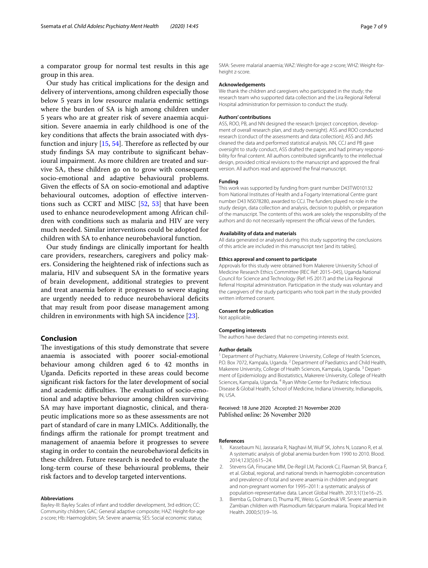a comparator group for normal test results in this age group in this area.

Our study has critical implications for the design and delivery of interventions, among children especially those below 5 years in low resource malaria endemic settings where the burden of SA is high among children under 5 years who are at greater risk of severe anaemia acquisition. Severe anaemia in early childhood is one of the key conditions that afects the brain associated with dysfunction and injury  $[15, 54]$  $[15, 54]$  $[15, 54]$ . Therefore as reflected by our study fndings SA may contribute to signifcant behavioural impairment. As more children are treated and survive SA, these children go on to grow with consequent socio-emotional and adaptive behavioural problems. Given the efects of SA on socio-emotional and adaptive behavioural outcomes, adoption of efective interventions such as CCRT and MISC [[52,](#page-8-2) [53](#page-8-3)] that have been used to enhance neurodevelopment among African children with conditions such as malaria and HIV are very much needed. Similar interventions could be adopted for children with SA to enhance neurobehavioral function.

Our study fndings are clinically important for health care providers, researchers, caregivers and policy makers. Considering the heightened risk of infections such as malaria, HIV and subsequent SA in the formative years of brain development, additional strategies to prevent and treat anaemia before it progresses to severe staging are urgently needed to reduce neurobehavioral defcits that may result from poor disease management among children in environments with high SA incidence [\[23\]](#page-7-16).

## **Conclusion**

The investigations of this study demonstrate that severe anaemia is associated with poorer social-emotional behaviour among children aged 6 to 42 months in Uganda. Deficits reported in these areas could become signifcant risk factors for the later development of social and academic difficulties. The evaluation of socio-emotional and adaptive behaviour among children surviving SA may have important diagnostic, clinical, and therapeutic implications more so as these assessments are not part of standard of care in many LMICs. Additionally, the findings affirm the rationale for prompt treatment and management of anaemia before it progresses to severe staging in order to contain the neurobehavioral defcits in these children. Future research is needed to evaluate the long-term course of these behavioural problems, their risk factors and to develop targeted interventions.

#### **Abbreviations**

Bayley-III: Bayley Scales of infant and toddler development, 3rd edition; CC: Community children; GAC: General adaptive composite; HAZ: Height-for-age z-score; Hb: Haemoglobin; SA: Severe anaemia; SES: Social economic status;

SMA: Severe malarial anaemia; WAZ: Weight-for-age z-score; WHZ: Weight-forheight z-score.

## **Acknowledgements**

We thank the children and caregivers who participated in the study; the research team who supported data collection and the Lira Regional Referral Hospital administration for permission to conduct the study.

#### **Authors' contributions**

ASS, ROO, PB, and NN designed the research (project conception, development of overall research plan, and study oversight). ASS and ROO conducted research (conduct of the assessments and data collection); ASS and JMS cleaned the data and performed statistical analysis. NN, CCJ and PB gave oversight to study conduct, ASS drafted the paper, and had primary responsibility for fnal content. All authors contributed signifcantly to the intellectual design, provided critical revisions to the manuscript and approved the fnal version. All authors read and approved the fnal manuscript.

#### **Funding**

This work was supported by funding from grant number D43TW010132 from National Institutes of Health and a Fogarty International Centre grant number D43 NS078280, awarded to CCJ. The funders played no role in the study design, data collection and analysis, decision to publish, or preparation of the manuscript. The contents of this work are solely the responsibility of the authors and do not necessarily represent the official views of the funders.

#### **Availability of data and materials**

All data generated or analysed during this study supporting the conclusions of this article are included in this manuscript text [and its tables].

#### **Ethics approval and consent to participate**

Approvals for this study were obtained from Makerere University School of Medicine Research Ethics Committee (REC Ref: 2015–045), Uganda National Council for Science and Technology (Ref: HS 2017) and the Lira Regional Referral Hospital administration. Participation in the study was voluntary and the caregivers of the study participants who took part in the study provided written informed consent.

#### **Consent for publication**

Not applicable.

#### **Competing interests** The authors have declared that no competing interests exist.

#### **Author details**

<sup>1</sup> Department of Psychiatry, Makerere University, College of Health Sciences, P.O. Box 7072, Kampala, Uganda. <sup>2</sup> Department of Paediatrics and Child Health, Makerere University, College of Health Sciences, Kampala, Uganda.<sup>3</sup> Department of Epidemiology and Biostatistics, Makerere University, College of Health Sciences, Kampala, Uganda. <sup>4</sup> Ryan White Center for Pediatric Infectious Disease & Global Health, School of Medicine, Indiana University, Indianapolis, IN, USA.

Received: 18 June 2020 Accepted: 21 November 2020

#### **References**

- <span id="page-6-0"></span>1. Kassebaum NJ, Jasrasaria R, Naghavi M, Wulf SK, Johns N, Lozano R, et al. A systematic analysis of global anemia burden from 1990 to 2010. Blood. 2014;123(5):615–24.
- <span id="page-6-1"></span>2. Stevens GA, Finucane MM, De-Regil LM, Paciorek CJ, Flaxman SR, Branca F, et al. Global, regional, and national trends in haemoglobin concentration and prevalence of total and severe anaemia in children and pregnant and non-pregnant women for 1995–2011: a systematic analysis of population-representative data. Lancet Global Health. 2013;1(1):e16–25.
- <span id="page-6-2"></span>3. Biemba G, Dolmans D, Thuma PE, Weiss G, Gordeuk VR. Severe anaemia in Zambian children with Plasmodium falciparum malaria. Tropical Med Int Health. 2000;5(1):9–16.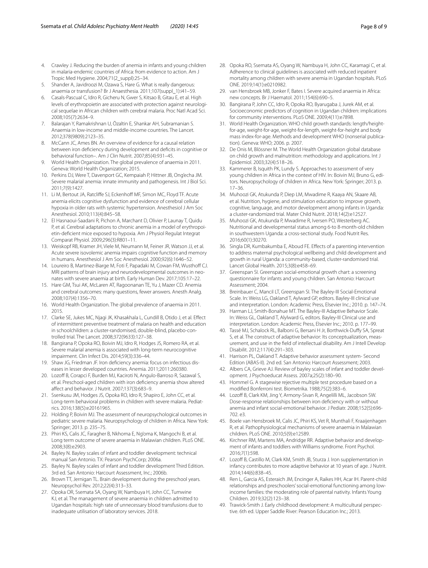- <span id="page-7-0"></span>4. Crawley J. Reducing the burden of anemia in infants and young children in malaria-endemic countries of Africa: from evidence to action. Am J Tropic Med Hygiene. 2004;71(2\_suppl):25–34.
- <span id="page-7-1"></span>5. Shander A, Javidroozi M, Ozawa S, Hare G. What is really dangerous: anaemia or transfusion? Br J Anaesthesia. 2011;107(suppl\_1):i41–59.
- 6. Casals-Pascual C, Idro R, Gicheru N, Gwer S, Kitsao B, Gitau E, et al. High levels of erythropoietin are associated with protection against neurological sequelae in African children with cerebral malaria. Proc Natl Acad Sci. 2008;105(7):2634–9.
- <span id="page-7-6"></span>7. Balarajan Y, Ramakrishnan U, Özaltin E, Shankar AH, Subramanian S. Anaemia in low-income and middle-income countries. The Lancet. 2012;378(9809):2123–35.
- 8. McCann JC, Ames BN. An overview of evidence for a causal relation between iron defciency during development and defcits in cognitive or behavioral function–. Am J Clin Nutrit. 2007;85(4):931–45.
- <span id="page-7-8"></span>9. World Health Organization. The global prevalence of anaemia in 2011. Geneva: World Health Organization; 2015.
- <span id="page-7-2"></span>10. Perkins DJ, Were T, Davenport GC, Kempaiah P, Hittner JB, Ong'echa JM. Severe malarial anemia: innate immunity and pathogenesis. Int J Biol Sci. 2011;7(9):1427.
- <span id="page-7-3"></span>11. Li M, Bertout JA, Ratcliffe SJ, Eckenhoff MF, Simon MC, Floyd TF. Acute anemia elicits cognitive dysfunction and evidence of cerebral cellular hypoxia in older rats with systemic hypertension. Anesthesiol J Am Soc Anesthesiol. 2010;113(4):845–58.
- 12. El Hasnaoui-Saadani R, Pichon A, Marchant D, Olivier P, Launay T, Quidu P, et al. Cerebral adaptations to chronic anemia in a model of erythropoietin-defcient mice exposed to hypoxia. Am J Physiol Regulat Integrat Comparat Physiol. 2009;296(3):R801–11.
- <span id="page-7-4"></span>13. Weiskopf RB, Kramer JH, Viele M, Neumann M, Feiner JR, Watson JJ, et al. Acute severe isovolemic anemia impairs cognitive function and memory in humans. Anesthesiol J Am Soc Anesthesiol. 2000;92(6):1646–52.
- <span id="page-7-14"></span>14. Loureiro B, Martinez-Biarge M, Foti F, Papadaki M, Cowan FM, Wusthoff CJ. MRI patterns of brain injury and neurodevelopmental outcomes in neonates with severe anaemia at birth. Early Human Dev. 2017;105:17–22.
- <span id="page-7-5"></span>15. Hare GM, Tsui AK, McLaren AT, Ragoonanan TE, Yu J, Mazer CD. Anemia and cerebral outcomes: many questions, fewer answers. Anesth Analg. 2008;107(4):1356–70.
- <span id="page-7-7"></span>16. World Health Organization. The global prevalence of anaemia in 2011. 2015.
- <span id="page-7-9"></span>17. Clarke SE, Jukes MC, Njagi JK, Khasakhala L, Cundill B, Otido J, et al. Efect of intermittent preventive treatment of malaria on health and education in schoolchildren: a cluster-randomised, double-blind, placebo-controlled trial. The Lancet. 2008;372(9633):127–38.
- <span id="page-7-10"></span>18. Bangirana P, Opoka RO, Boivin MJ, Idro R, Hodges JS, Romero RA, et al. Severe malarial anemia is associated with long-term neurocognitive impairment. Clin Infect Dis. 2014;59(3):336–44.
- <span id="page-7-11"></span>19. Shaw JG, Friedman JF. Iron defciency anemia: focus on infectious diseases in lesser developed countries. Anemia. 2011;2011:260380.
- <span id="page-7-12"></span>20. Lozoff B, Corapci F, Burden MJ, Kaciroti N, Angulo-Barroso R, Sazawal S, et al. Preschool-aged children with iron defciency anemia show altered afect and behavior. J Nutrit. 2007;137(3):683–9.
- <span id="page-7-13"></span>21. Ssenkusu JM, Hodges JS, Opoka RO, Idro R, Shapiro E, John CC, et al. Long-term behavioral problems in children with severe malaria. Pediatrics. 2016;138(5):e20161965.
- <span id="page-7-15"></span>22. Holding P, Boivin MJ. The assessment of neuropsychological outcomes in pediatric severe malaria. Neuropsychology of children in Africa. New York: Springer; 2013. p. 235–75.
- <span id="page-7-16"></span>23. Phiri KS, Calis JC, Faragher B, Nkhoma E, Ng'oma K, Mangochi B, et al. Long term outcome of severe anaemia in Malawian children. PLoS ONE. 2008;3(8):e2903.
- <span id="page-7-17"></span>24. Bayley N. Bayley scales of infant and toddler development: technical manual San Antonio. TX: Pearson PsychCorp; 2006a.
- <span id="page-7-18"></span>25. Bayley N. Bayley scales of infant and toddler development Third Edition. 3rd ed. San Antonio: Harcourt Assessment, Inc.; 2006b.
- <span id="page-7-19"></span>26. Brown TT, Jernigan TL. Brain development during the preschool years. Neuropsychol Rev. 2012;22(4):313–33.
- <span id="page-7-20"></span>27. Opoka OR, Ssemata SA, Oyang W, Nambuya H, John CC, Tumwine KJ, et al. The management of severe anaemia in children admitted to Ugandan hospitals: high rate of unnecessary blood transfusions due to inadequate utilisation of laboratory services. 2018.
- <span id="page-7-21"></span>28. Opoka RO, Ssemata AS, Oyang W, Nambuya H, John CC, Karamagi C, et al. Adherence to clinical guidelines is associated with reduced inpatient mortality among children with severe anemia in Ugandan hospitals. PLoS ONE. 2019;14(1):e0210982.
- <span id="page-7-22"></span>29. van Hensbroek MB, Jonker F, Bates I. Severe acquired anaemia in Africa: new concepts. Br J Haematol. 2011;154(6):690–5.
- <span id="page-7-23"></span>30. Bangirana P, John CC, Idro R, Opoka RO, Byarugaba J, Jurek AM, et al. Socioeconomic predictors of cognition in Ugandan children: implications for community interventions. PLoS ONE. 2009;4(11):e7898.
- <span id="page-7-24"></span>31. World Health Organization. WHO child growth standards: length/heightfor-age, weight-for-age, weight-for-length, weight-for-height and body mass index-for-age. Methods and development WHO (nonserial publication). Geneva: WHO; 2006. p. 2007.
- <span id="page-7-25"></span>32. De Onis M, Blössner M. The World Health Organization global database on child growth and malnutrition: methodology and applications. Int J Epidemiol. 2003;32(4):518–26.
- <span id="page-7-26"></span>33. Kammerer B, Isquith PK, Lundy S. Approaches to assessment of very young children in Africa in the context of HIV. In: Boivin MJ, Bruno G, editors. Neuropsychology of children in Africa. New York: Springer; 2013. p. 17–36.
- <span id="page-7-27"></span>34. Muhoozi GK, Atukunda P, Diep LM, Mwadime R, Kaaya AN, Skaare AB, et al. Nutrition, hygiene, and stimulation education to improve growth, cognitive, language, and motor development among infants in Uganda: a cluster-randomized trial. Mater Child Nutrit. 2018;14(2):e12527.
- 35. Muhoozi GK, Atukunda P, Mwadime R, Iversen PO, Westerberg AC. Nutritional and developmental status among 6-to 8-month-old children in southwestern Uganda: a cross-sectional study. Food Nutrit Res. 2016;60(1):30270.
- <span id="page-7-28"></span>36. Singla DR, Kumbakumba E, Aboud FE. Efects of a parenting intervention to address maternal psychological wellbeing and child development and growth in rural Uganda: a community-based, cluster-randomised trial. Lancet Global Health. 2015;3(8):e458–69.
- <span id="page-7-29"></span>37. Greenspan SI. Greenspan social-emotional growth chart: a screening questionnaire for infants and young children. San Antonio: Harcourt Assessment; 2004.
- <span id="page-7-30"></span>38. Breinbauer C, Mancil LT, Greenspan SI. The Bayley-III Social-Emotional Scale. In: Weiss LG, Oakland T, Aylward GP, editors. Bayley-III clinical use and interpretation. London: Academic Press, Elsevier Inc.; 2010. p. 147–74.
- <span id="page-7-31"></span>39. Harman LJ, Smith-Bonahue MT. The Bayley-III Adaptive Behavior Scale. In: Weiss GL, Oakland T, Alylward G, editors. Bayley-III Clinical use and interpretation. London: Academic Press, Elsevier Inc.; 2010. p. 177–99.
- <span id="page-7-32"></span>40. Tassé MJ, Schalock RL, Balboni G, Bersani H Jr, Borthwick-Dufy SA, Spreat S, et al. The construct of adaptive behavior: Its conceptualization, measurement, and use in the feld of intellectual disability. Am J Intell Develop Disabilit. 2012;117(4):291–303.
- <span id="page-7-33"></span>41. Harrison PL, Oakland T. Adaptive behavior assessment system- Second Edition (ABAS-II). 2nd ed. San Antonio: Harcourt Assessment; 2003.
- <span id="page-7-34"></span>42. Albers CA, Grieve AJ. Review of bayley scales of infant and toddler development. J Psychoeducat Assess. 2007a;25(2):180–90.
- <span id="page-7-35"></span>43. Hommel G. A stagewise rejective multiple test procedure based on a modifed Bonferroni test. Biometrika. 1988;75(2):383–6.
- <span id="page-7-36"></span>44. Lozoff B, Clark KM, Jing Y, Armony-Sivan R, Angelilli ML, Jacobson SW. Dose-response relationships between iron defciency with or without anemia and infant social-emotional behavior. J Pediatr. 2008;152(5):696- 702. e3.
- <span id="page-7-37"></span>45. Boele van Hensbroek M, Calis JC, Phiri KS, Vet R, Munthali F, Kraaijenhagen R, et al. Pathophysiological mechanisms of severe anaemia in Malawian children. PLoS ONE. 2010;5(9):e12589.
- <span id="page-7-38"></span>46. Kirchner RM, Martens MA, Andridge RR. Adaptive behavior and development of infants and toddlers with Williams syndrome. Front Psychol. 2016;7(1):598.
- <span id="page-7-39"></span>47. Lozoff B, Castillo M, Clark KM, Smith JB, Sturza J. Iron supplementation in infancy contributes to more adaptive behavior at 10 years of age. J Nutrit. 2014;144(6):838–45.
- <span id="page-7-40"></span>48. Ren L, Garcia AS, Esteraich JM, Encinger A, Raikes HH, Acar IH. Parent-child relationships and preschoolers' social-emotional functioning among lowincome families: the moderating role of parental nativity. Infants Young Children. 2019;32(2):123–38.
- <span id="page-7-41"></span>49. Trawick-Smith J. Early childhood development: A multicultural perspective. 6th ed. Upper Saddle River: Pearson Education Inc.; 2013.